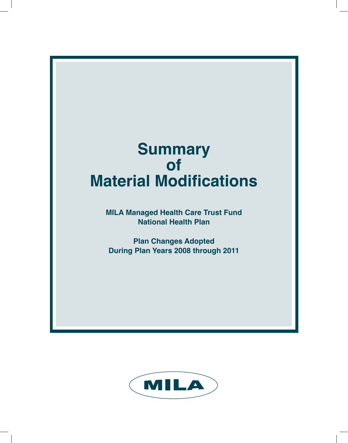# **Summary of Material Modifications**

**MILA Managed Health Care Trust Fund National Health Plan**

**Plan Changes Adopted During Plan Years 2008 through 2011**

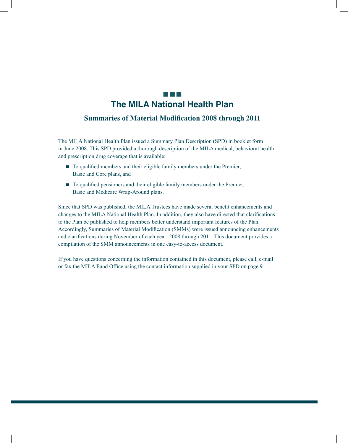# <u>ta ka</u> **The MILA National Health Plan**

# **Summaries of Material Modification 2008 through 2011**

The MILA National Health Plan issued a Summary Plan Description (SPD) in booklet form in June 2008. This SPD provided a thorough description of the MILA medical, behavioral health and prescription drug coverage that is available:

- To qualified members and their eligible family members under the Premier, Basic and Core plans, and
- To qualified pensioners and their eligible family members under the Premier, Basic and Medicare Wrap-Around plans.

Since that SPD was published, the MILA Trustees have made several benefit enhancements and changes to the MILA National Health Plan. In addition, they also have directed that clarifications to the Plan be published to help members better understand important features of the Plan. Accordingly, Summaries of Material Modification (SMMs) were issued announcing enhancements and clarifications during November of each year: 2008 through 2011. This document provides a compilation of the SMM announcements in one easy-to-access document.

If you have questions concerning the information contained in this document, please call, e-mail or fax the MILA Fund Office using the contact information supplied in your SPD on page 91.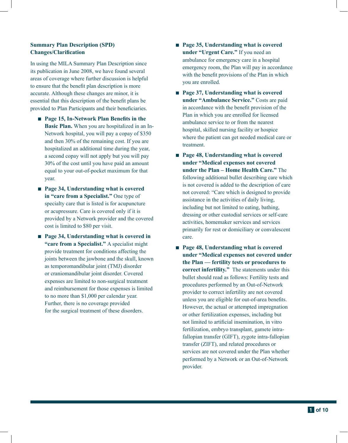## **Summary Plan Description (SPD) Changes/Clarification**

In using the MILA Summary Plan Description since its publication in June 2008, we have found several areas of coverage where further discussion is helpful to ensure that the benefit plan description is more accurate. Although these changes are minor, it is essential that this description of the benefit plans be provided to Plan Participants and their beneficiaries.

- **Page 15, In-Network Plan Benefits in the Basic Plan.** When you are hospitalized in an In-Network hospital, you will pay a copay of \$350 and then 30% of the remaining cost. If you are hospitalized an additional time during the year, a second copay will not apply but you will pay 30% of the cost until you have paid an amount equal to your out-of-pocket maximum for that year.
- **Page 34, Understanding what is covered in "care from a Specialist."** One type of specialty care that is listed is for acupuncture or acupressure. Care is covered only if it is provided by a Network provider and the covered cost is limited to \$80 per visit.
- **Page 34, Understanding what is covered in "care from a Specialist."** A specialist might provide treatment for conditions affecting the joints between the jawbone and the skull, known as temporomandibular joint (TMJ) disorder or craniomandibular joint disorder. Covered expenses are limited to non-surgical treatment and reimbursement for those expenses is limited to no more than \$1,000 per calendar year. Further, there is no coverage provided for the surgical treatment of these disorders.
- **Page 35, Understanding what is covered under "Urgent Care."** If you need an ambulance for emergency care in a hospital emergency room, the Plan will pay in accordance with the benefit provisions of the Plan in which you are enrolled.
- **Page 37, Understanding what is covered under "Ambulance Service."** Costs are paid in accordance with the benefit provision of the Plan in which you are enrolled for licensed ambulance service to or from the nearest hospital, skilled nursing facility or hospice where the patient can get needed medical care or treatment.
- **Page 48, Understanding what is covered under "Medical expenses not covered under the Plan – Home Health Care."** The following additional bullet describing care which is not covered is added to the description of care not covered: "Care which is designed to provide assistance in the activities of daily living, including but not limited to eating, bathing, dressing or other custodial services or self-care activities, homemaker services and services primarily for rest or domiciliary or convalescent care.
- **Page 48, Understanding what is covered under "Medical expenses not covered under the Plan — fertility tests or procedures to correct infertility."** The statements under this bullet should read as follows: Fertility tests and procedures performed by an Out-of-Network provider to correct infertility are not covered unless you are eligible for out-of-area benefits. However, the actual or attempted impregnation or other fertilization expenses, including but not limited to artificial insemination, in vitro fertilization, embryo transplant, gamete intrafallopian transfer (GIFT), zygote intra-fallopian transfer (ZIFT), and related procedures or services are not covered under the Plan whether performed by a Network or an Out-of-Network provider.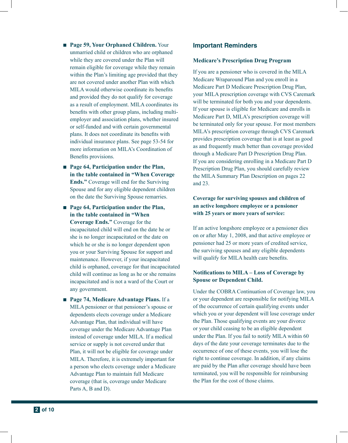- **Page 59, Your Orphaned Children.** Your unmarried child or children who are orphaned while they are covered under the Plan will remain eligible for coverage while they remain within the Plan's limiting age provided that they are not covered under another Plan with which MILA would otherwise coordinate its benefits and provided they do not qualify for coverage as a result of employment. MILA coordinates its benefits with other group plans, including multiemployer and association plans, whether insured or self-funded and with certain governmental plans. It does not coordinate its benefits with individual insurance plans. See page 53-54 for more information on MILA's Coordination of Benefits provisions.
- **Page 64, Participation under the Plan, in the table contained in "When Coverage Ends."** Coverage will end for the Surviving Spouse and for any eligible dependent children on the date the Surviving Spouse remarries.
- **Page 64, Participation under the Plan, in the table contained in "When Coverage Ends."** Coverage for the incapacitated child will end on the date he or she is no longer incapacitated or the date on which he or she is no longer dependent upon you or your Surviving Spouse for support and maintenance. However, if your incapacitated child is orphaned, coverage for that incapacitated child will continue as long as he or she remains incapacitated and is not a ward of the Court or any government.
- **Page 74, Medicare Advantage Plans.** If a MILA pensioner or that pensioner's spouse or dependents elects coverage under a Medicare Advantage Plan, that individual will have coverage under the Medicare Advantage Plan instead of coverage under MILA. If a medical service or supply is not covered under that Plan, it will not be eligible for coverage under MILA. Therefore, it is extremely important for a person who elects coverage under a Medicare Advantage Plan to maintain full Medicare coverage (that is, coverage under Medicare Parts A, B and D).

## **Important Reminders**

## **Medicare's Prescription Drug Program**

If you are a pensioner who is covered in the MILA Medicare Wraparound Plan and you enroll in a Medicare Part D Medicare Prescription Drug Plan, your MILA prescription coverage with CVS Caremark will be terminated for both you and your dependents. If your spouse is eligible for Medicare and enrolls in Medicare Part D, MILA's prescription coverage will be terminated only for your spouse. For most members MILA's prescription coverage through CVS Caremark provides prescription coverage that is at least as good as and frequently much better than coverage provided through a Medicare Part D Prescription Drug Plan. If you are considering enrolling in a Medicare Part D Prescription Drug Plan, you should carefully review the MILA Summary Plan Description on pages 22 and 23.

## **Coverage for surviving spouses and children of an active longshore employee or a pensioner with 25 years or more years of service:**

If an active longshore employee or a pensioner dies on or after May 1, 2008, and that active employee or pensioner had 25 or more years of credited service, the surviving spouses and any eligible dependents will qualify for MILA health care benefits.

## **Notifications to MILA – Loss of Coverage by Spouse or Dependent Child.**

Under the COBRA Continuation of Coverage law, you or your dependent are responsible for notifying MILA of the occurrence of certain qualifying events under which you or your dependent will lose coverage under the Plan. Those qualifying events are your divorce or your child ceasing to be an eligible dependent under the Plan. If you fail to notify MILA within 60 days of the date your coverage terminates due to the occurrence of one of these events, you will lose the right to continue coverage. In addition, if any claims are paid by the Plan after coverage should have been terminated, you will be responsible for reimbursing the Plan for the cost of those claims.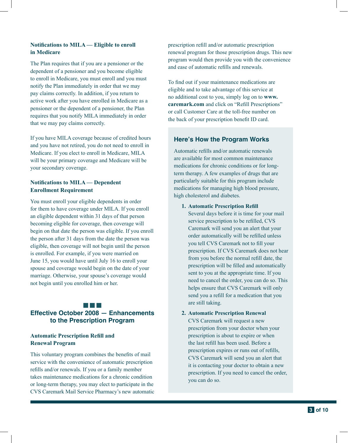## **Notifications to MILA — Eligible to enroll in Medicare**

The Plan requires that if you are a pensioner or the dependent of a pensioner and you become eligible to enroll in Medicare, you must enroll and you must notify the Plan immediately in order that we may pay claims correctly. In addition, if you return to active work after you have enrolled in Medicare as a pensioner or the dependent of a pensioner, the Plan requires that you notify MILA immediately in order that we may pay claims correctly.

If you have MILA coverage because of credited hours and you have not retired, you do not need to enroll in Medicare. If you elect to enroll in Medicare, MILA will be your primary coverage and Medicare will be your secondary coverage.

## **Notifications to MILA — Dependent Enrollment Requirement**

You must enroll your eligible dependents in order for them to have coverage under MILA. If you enroll an eligible dependent within 31 days of that person becoming eligible for coverage, then coverage will begin on that date the person was eligible. If you enroll the person after 31 days from the date the person was eligible, then coverage will not begin until the person is enrolled. For example, if you were married on June 15, you would have until July 16 to enroll your spouse and coverage would begin on the date of your marriage. Otherwise, your spouse's coverage would not begin until you enrolled him or her.

#### a kacamatan

# **Effective October 2008 — Enhancements to the Prescription Program**

## **Automatic Prescription Refill and Renewal Program**

This voluntary program combines the benefits of mail service with the convenience of automatic prescription refills and/or renewals. If you or a family member takes maintenance medications for a chronic condition or long-term therapy, you may elect to participate in the CVS Caremark Mail Service Pharmacy's new automatic

prescription refill and/or automatic prescription renewal program for those prescription drugs. This new program would then provide you with the convenience and ease of automatic refills and renewals.

To find out if your maintenance medications are eligible and to take advantage of this service at no additional cost to you, simply log on to **www. caremark.com** and click on "Refill Prescriptions" or call Customer Care at the toll-free number on the back of your prescription benefit ID card.

## **Here's How the Program Works**

Automatic refills and/or automatic renewals are available for most common maintenance medications for chronic conditions or for longterm therapy. A few examples of drugs that are particularly suitable for this program include medications for managing high blood pressure, high cholesterol and diabetes.

**1. Automatic Prescription Refill**

Several days before it is time for your mail service prescription to be refilled, CVS Caremark will send you an alert that your order automatically will be refilled unless you tell CVS Caremark not to fill your prescription. If CVS Caremark does not hear from you before the normal refill date, the prescription will be filled and automatically sent to you at the appropriate time. If you need to cancel the order, you can do so. This helps ensure that CVS Caremark will only send you a refill for a medication that you are still taking.

#### **2. Automatic Prescription Renewal**

CVS Caremark will request a new prescription from your doctor when your prescription is about to expire or when the last refill has been used. Before a prescription expires or runs out of refills, CVS Caremark will send you an alert that it is contacting your doctor to obtain a new prescription. If you need to cancel the order, you can do so.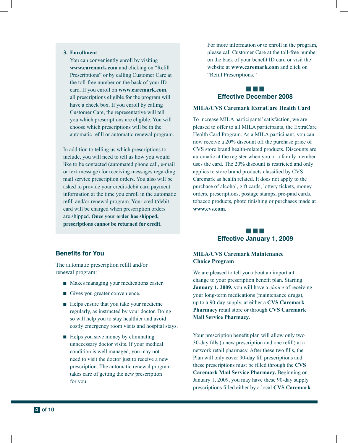#### **3. Enrollment**

You can conveniently enroll by visiting **www.caremark.com** and clicking on "Refill Prescriptions" or by calling Customer Care at the toll-free number on the back of your ID card. If you enroll on **www.caremark.com**, all prescriptions eligible for the program will have a check box. If you enroll by calling Customer Care, the representative will tell you which prescriptions are eligible. You will choose which prescriptions will be in the automatic refill or automatic renewal program.

In addition to telling us which prescriptions to include, you will need to tell us how you would like to be contacted (automated phone call, e-mail or text message) for receiving messages regarding mail service prescription orders. You also will be asked to provide your credit/debit card payment information at the time you enroll in the automatic refill and/or renewal program. Your credit/debit card will be charged when prescription orders are shipped. **Once your order has shipped, prescriptions cannot be returned for credit.**

For more information or to enroll in the program, please call Customer Care at the toll-free number on the back of your benefit ID card or visit the website at **www.caremark.com** and click on "Refill Prescriptions."

## <u>ta ka</u> **Effective December 2008**

#### **MILA/CVS Caremark ExtraCare Health Card**

To increase MILA participants' satisfaction, we are pleased to offer to all MILA participants, the ExtraCare Health Card Program. As a MILA participant, you can now receive a 20% discount off the purchase price of CVS store brand health-related products. Discounts are automatic at the register when you or a family member uses the card. The 20% discount is restricted and only applies to store brand products classified by CVS Caremark as health related. It does not apply to the purchase of alcohol, gift cards, lottery tickets, money orders, prescriptions, postage stamps, pre-paid cards, tobacco products, photo finishing or purchases made at **www.cvs.com.** 



## **MILA/CVS Caremark Maintenance Choice Program**

We are pleased to tell you about an important change to your prescription benefit plan. Starting **January 1, 2009,** you will have a *choice* of receiving your long-term medications (maintenance drugs), up to a 90-day supply, at either a **CVS Caremark Pharmacy** retail store or through **CVS Caremark Mail Service Pharmacy.** 

Your prescription benefit plan will allow only two 30-day fills (a new prescription and one refill) at a network retail pharmacy. After these two fills, the Plan will only cover 90-day fill prescriptions and these prescriptions must be filled through the **CVS Caremark Mail Service Pharmacy.** Beginning on January 1, 2009, you may have these 90-day supply prescriptions filled either by a local **CVS Caremark** 

## **Benefits for You**

The automatic prescription refill and/or renewal program:

- Makes managing your medications easier.
- Gives you greater convenience.
- Helps ensure that you take your medicine regularly, as instructed by your doctor. Doing so will help you to stay healthier and avoid costly emergency room visits and hospital stays.
- Helps you save money by eliminating unnecessary doctor visits. If your medical condition is well managed, you may not need to visit the doctor just to receive a new prescription. The automatic renewal program takes care of getting the new prescription for you.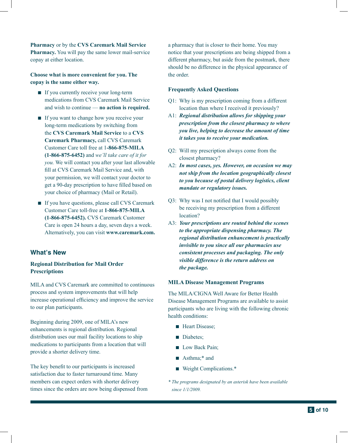**Pharmacy** or by the **CVS Caremark Mail Service Pharmacy.** You will pay the same lower mail-service copay at either location.

**Choose what is more convenient for you. The copay is the same either way.**

- If you currently receive your long-term medications from CVS Caremark Mail Service and wish to continue — **no action is required.**
- If you want to change how you receive your long-term medications by switching from the **CVS Caremark Mail Service** to a **CVS Caremark Pharmacy,** call CVS Caremark Customer Care toll free at 1**-866-875-MILA (1-866-875-6452)** and *we'll take care of it for you.* We will contact you after your last allowable fill at CVS Caremark Mail Service and, with your permission, we will contact your doctor to get a 90-day prescription to have filled based on your choice of pharmacy (Mail or Retail).
- If you have questions, please call CVS Caremark Customer Care toll-free at **1-866-875-MILA (1-866-875-6452).** CVS Caremark Customer Care is open 24 hours a day, seven days a week. Alternatively, you can visit **www.caremark.com.**

## **What's New**

## **Regional Distribution for Mail Order Prescriptions**

MILA and CVS Caremark are committed to continuous process and system improvements that will help increase operational efficiency and improve the service to our plan participants.

Beginning during 2009, one of MILA's new enhancements is regional distribution. Regional distribution uses our mail facility locations to ship medications to participants from a location that will provide a shorter delivery time.

The key benefit to our participants is increased satisfaction due to faster turnaround time. Many members can expect orders with shorter delivery times since the orders are now being dispensed from a pharmacy that is closer to their home. You may notice that your prescriptions are being shipped from a different pharmacy, but aside from the postmark, there should be no difference in the physical appearance of the order.

#### **Frequently Asked Questions**

- Q1: Why is my prescription coming from a different location than where I received it previously?
- A1: *Regional distribution allows for shipping your prescription from the closest pharmacy to where you live, helping to decrease the amount of time it takes you to receive your medication.*
- Q2: Will my prescription always come from the closest pharmacy?
- A2: *In most cases, yes. However, on occasion we may not ship from the location geographically closest to you because of postal delivery logistics, client mandate or regulatory issues.*
- Q3: Why was I not notified that I would possibly be receiving my prescription from a different location?
- A3: *Your prescriptions are routed behind the scenes to the appropriate dispensing pharmacy. The regional distribution enhancement is practically invisible to you since all our pharmacies use consistent processes and packaging. The only visible difference is the return address on the package.*

#### **MILA Disease Management Programs**

The MILA/CIGNA Well Aware for Better Health Disease Management Programs are available to assist participants who are living with the following chronic health conditions:

- Heart Disease;
- Diabetes;
- Low Back Pain;
- Asthma;<sup>\*</sup> and
- Weight Complications.<sup>\*</sup>

*\* The programs designated by an asterisk have been available since 1/1/2009.*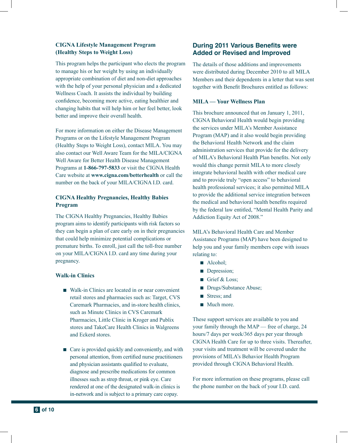## **CIGNA Lifestyle Management Program (Healthy Steps to Weight Loss)**

This program helps the participant who elects the program to manage his or her weight by using an individually appropriate combination of diet and non-diet approaches with the help of your personal physician and a dedicated Wellness Coach. It assists the individual by building confidence, becoming more active, eating healthier and changing habits that will help him or her feel better, look better and improve their overall health.

For more information on either the Disease Management Programs or on the Lifestyle Management Program (Healthy Steps to Weight Loss), contact MILA. You may also contact our Well Aware Team for the MILA/CIGNA Well Aware for Better Health Disease Management Programs at **1-866-797-5833** or visit the CIGNA Health Care website at **www.cigna.com/betterhealth** or call the number on the back of your MILA/CIGNA I.D. card.

## **CIGNA Healthy Pregnancies, Healthy Babies Program**

The CIGNA Healthy Pregnancies, Healthy Babies program aims to identify participants with risk factors so they can begin a plan of care early on in their pregnancies that could help minimize potential complications or premature births. To enroll, just call the toll-free number on your MILA/CIGNA I.D. card any time during your pregnancy.

#### **Walk-in Clinics**

- Walk-in Clinics are located in or near convenient retail stores and pharmacies such as: Target, CVS Caremark Pharmacies, and in-store health clinics, such as Minute Clinics in CVS Caremark Pharmacies, Little Clinic in Kroger and Publix stores and TakeCare Health Clinics in Walgreens and Eckerd stores.
- Care is provided quickly and conveniently, and with personal attention, from certified nurse practitioners and physician assistants qualified to evaluate, diagnose and prescribe medications for common illnesses such as strep throat, or pink eye. Care rendered at one of the designated walk-in clinics is in-network and is subject to a primary care copay.

## **During 2011 Various Benefits were Added or Revised and Improved**

The details of those additions and improvements were distributed during December 2010 to all MILA Members and their dependents in a letter that was sent together with Benefit Brochures entitled as follows:

#### **MILA — Your Wellness Plan**

This brochure announced that on January 1, 2011, CIGNA Behavioral Health would begin providing the services under MILA's Member Assistance Program (MAP) and it also would begin providing the Behavioral Health Network and the claim administration services that provide for the delivery of MILA's Behavioral Health Plan benefits. Not only would this change permit MILA to more closely integrate behavioral health with other medical care and to provide truly "open access" to behavioral health professional services; it also permitted MILA to provide the additional service integration between the medical and behavioral health benefits required by the federal law entitled, "Mental Health Parity and Addiction Equity Act of 2008."

MILA's Behavioral Health Care and Member Assistance Programs (MAP) have been designed to help you and your family members cope with issues relating to:

- Alcohol;
- Depression;
- Grief & Loss;
- Drugs/Substance Abuse;
- Stress: and
- Much more

These support services are available to you and your family through the MAP — free of charge, 24 hours/7 days per week/365 days per year through CIGNA Health Care for up to three visits. Thereafter, your visits and treatment will be covered under the provisions of MILA's Behavior Health Program provided through CIGNA Behavioral Health.

For more information on these programs, please call the phone number on the back of your I.D. card.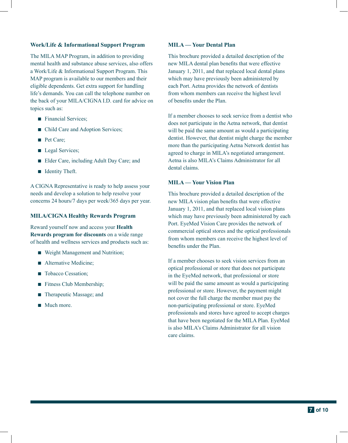## **Work/Life & Informational Support Program**

The MILA MAP Program, in addition to providing mental health and substance abuse services, also offers a Work/Life & Informational Support Program. This MAP program is available to our members and their eligible dependents. Get extra support for handling life's demands. You can call the telephone number on the back of your MILA/CIGNA I.D. card for advice on topics such as:

- Financial Services;
- Child Care and Adoption Services;
- Pet Care;
- Legal Services;
- Elder Care, including Adult Day Care; and
- Identity Theft.

A CIGNA Representative is ready to help assess your needs and develop a solution to help resolve your concerns 24 hours/7 days per week/365 days per year.

#### **MILA/CIGNA Healthy Rewards Program**

Reward yourself now and access your **Health Rewards program for discounts** on a wide range of health and wellness services and products such as:

- Weight Management and Nutrition;
- Alternative Medicine;
- Tobacco Cessation:
- Fitness Club Membership;
- Therapeutic Massage; and
- Much more.

## **MILA — Your Dental Plan**

This brochure provided a detailed description of the new MILA dental plan benefits that were effective January 1, 2011, and that replaced local dental plans which may have previously been administered by each Port. Aetna provides the network of dentists from whom members can receive the highest level of benefits under the Plan.

If a member chooses to seek service from a dentist who does not participate in the Aetna network, that dentist will be paid the same amount as would a participating dentist. However, that dentist might charge the member more than the participating Aetna Network dentist has agreed to charge in MILA's negotiated arrangement. Aetna is also MILA's Claims Administrator for all dental claims.

## **MILA — Your Vision Plan**

This brochure provided a detailed description of the new MILA vision plan benefits that were effective January 1, 2011, and that replaced local vision plans which may have previously been administered by each Port. EyeMed Vision Care provides the network of commercial optical stores and the optical professionals from whom members can receive the highest level of benefits under the Plan.

If a member chooses to seek vision services from an optical professional or store that does not participate in the EyeMed network, that professional or store will be paid the same amount as would a participating professional or store. However, the payment might not cover the full charge the member must pay the non-participating professional or store. EyeMed professionals and stores have agreed to accept charges that have been negotiated for the MILA Plan. EyeMed is also MILA's Claims Administrator for all vision care claims.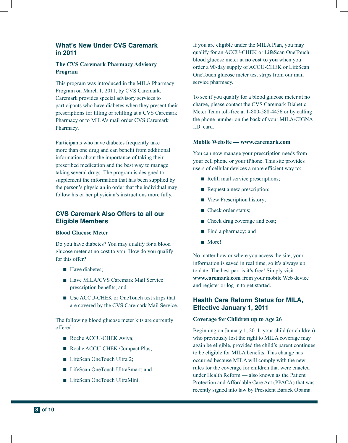## **What's New Under CVS Caremark in 2011**

#### **The CVS Caremark Pharmacy Advisory Program**

This program was introduced in the MILA Pharmacy Program on March 1, 2011, by CVS Caremark. Caremark provides special advisory services to participants who have diabetes when they present their prescriptions for filling or refilling at a CVS Caremark Pharmacy or to MILA's mail order CVS Caremark Pharmacy.

Participants who have diabetes frequently take more than one drug and can benefit from additional information about the importance of taking their prescribed medication and the best way to manage taking several drugs. The program is designed to supplement the information that has been supplied by the person's physician in order that the individual may follow his or her physician's instructions more fully.

## **CVS Caremark Also Offers to all our Eligible Members**

#### **Blood Glucose Meter**

Do you have diabetes? You may qualify for a blood glucose meter at no cost to you! How do you qualify for this offer?

- Have diabetes:
- Have MILA/CVS Caremark Mail Service prescription benefits; and
- Use ACCU-CHEK or OneTouch test strips that are covered by the CVS Caremark Mail Service.

The following blood glucose meter kits are currently offered:

- Roche ACCU-CHEK Aviva;
- Roche ACCU-CHEK Compact Plus;
- LifeScan OneTouch Ultra 2;
- LifeScan OneTouch UltraSmart; and
- LifeScan OneTouch UltraMini.

If you are eligible under the MILA Plan, you may qualify for an ACCU-CHEK or LifeScan OneTouch blood glucose meter at **no cost to you** when you order a 90-day supply of ACCU-CHEK or LifeScan OneTouch glucose meter test strips from our mail service pharmacy.

To see if you qualify for a blood glucose meter at no charge, please contact the CVS Caremark Diabetic Meter Team toll-free at 1-800-588-4456 or by calling the phone number on the back of your MILA/CIGNA I.D. card.

#### **Mobile Website — www.caremark.com**

You can now manage your prescription needs from your cell phone or your iPhone. This site provides users of cellular devices a more efficient way to:

- Refill mail service prescriptions;
- Request a new prescription;
- View Prescription history;
- Check order status;
- Check drug coverage and cost;
- Find a pharmacy; and
- More!

No matter how or where you access the site, your information is saved in real time, so it's always up to date. The best part is it's free! Simply visit **www.caremark.com** from your mobile Web device and register or log in to get started.

## **Health Care Reform Status for MILA, Effective January 1, 2011**

#### **Coverage for Children up to Age 26**

Beginning on January 1, 2011, your child (or children) who previously lost the right to MILA coverage may again be eligible, provided the child's parent continues to be eligible for MILA benefits. This change has occurred because MILA will comply with the new rules for the coverage for children that were enacted under Health Reform — also known as the Patient Protection and Affordable Care Act (PPACA) that was recently signed into law by President Barack Obama.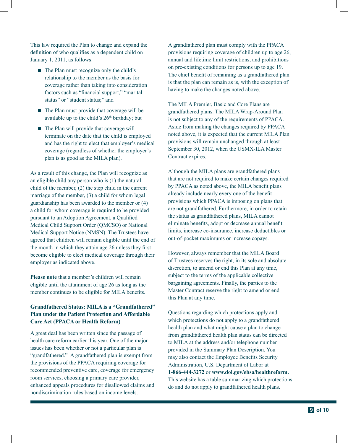This law required the Plan to change and expand the definition of who qualifies as a dependent child on January 1, 2011, as follows:

- The Plan must recognize only the child's relationship to the member as the basis for coverage rather than taking into consideration factors such as "financial support," "marital status" or "student status;" and
- The Plan must provide that coverage will be available up to the child's  $26<sup>th</sup>$  birthday; but
- The Plan will provide that coverage will terminate on the date that the child is employed and has the right to elect that employer's medical coverage (regardless of whether the employer's plan is as good as the MILA plan).

As a result of this change, the Plan will recognize as an eligible child any person who is (1) the natural child of the member, (2) the step child in the current marriage of the member, (3) a child for whom legal guardianship has been awarded to the member or (4) a child for whom coverage is required to be provided pursuant to an Adoption Agreement, a Qualified Medical Child Support Order (QMCSO) or National Medical Support Notice (NMSN). The Trustees have agreed that children will remain eligible until the end of the month in which they attain age 26 unless they first become eligible to elect medical coverage through their employer as indicated above.

**Please note** that a member's children will remain eligible until the attainment of age 26 as long as the member continues to be eligible for MILA benefits.

## **Grandfathered Status: MILA is a "Grandfathered" Plan under the Patient Protection and Affordable Care Act (PPACA or Health Reform)**

A great deal has been written since the passage of health care reform earlier this year. One of the major issues has been whether or not a particular plan is "grandfathered." A grandfathered plan is exempt from the provisions of the PPACA requiring coverage for recommended preventive care, coverage for emergency room services, choosing a primary care provider, enhanced appeals procedures for disallowed claims and nondiscrimination rules based on income levels.

A grandfathered plan must comply with the PPACA provisions requiring coverage of children up to age 26, annual and lifetime limit restrictions, and prohibitions on pre-existing conditions for persons up to age 19. The chief benefit of remaining as a grandfathered plan is that the plan can remain as is, with the exception of having to make the changes noted above.

The MILA Premier, Basic and Core Plans are grandfathered plans. The MILA Wrap-Around Plan is not subject to any of the requirements of PPACA. Aside from making the changes required by PPACA noted above, it is expected that the current MILA Plan provisions will remain unchanged through at least September 30, 2012, when the USMX-ILA Master Contract expires.

Although the MILA plans are grandfathered plans that are not required to make certain changes required by PPACA as noted above, the MILA benefit plans already include nearly every one of the benefit provisions which PPACA is imposing on plans that are not grandfathered. Furthermore, in order to retain the status as grandfathered plans, MILA cannot eliminate benefits, adopt or decrease annual benefit limits, increase co-insurance, increase deductibles or out-of-pocket maximums or increase copays.

However, always remember that the MILA Board of Trustees reserves the right, in its sole and absolute discretion, to amend or end this Plan at any time, subject to the terms of the applicable collective bargaining agreements. Finally, the parties to the Master Contract reserve the right to amend or end this Plan at any time.

Questions regarding which protections apply and which protections do not apply to a grandfathered health plan and what might cause a plan to change from grandfathered health plan status can be directed to MILA at the address and/or telephone number provided in the Summary Plan Description. You may also contact the Employee Benefits Security Administration, U.S. Department of Labor at **1-866-444-3272** or **www.dol.gov/ebsa/healthreform.** This website has a table summarizing which protections do and do not apply to grandfathered health plans.